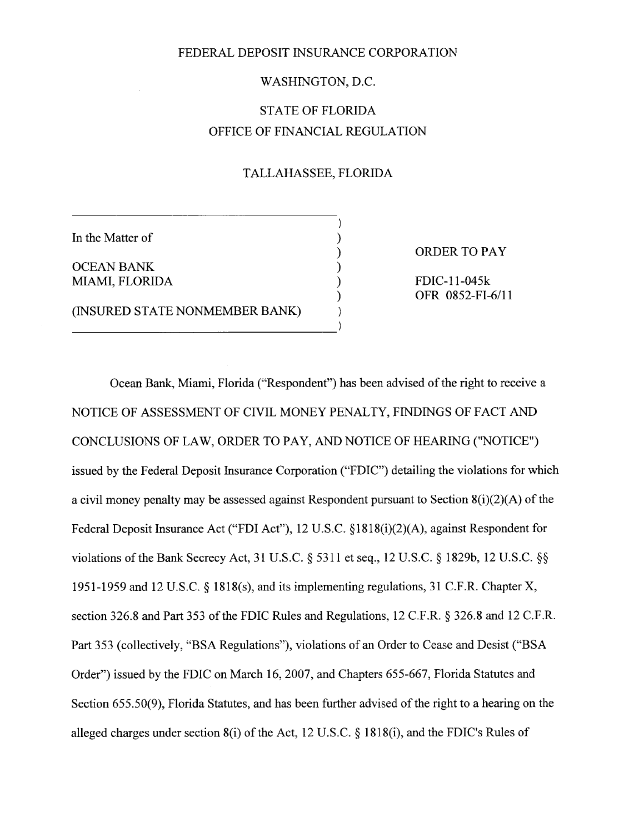### FEDERAL DEPOSIT INSURANCE CORPORATION

## WASHINGTON, D.C.

# STATE OF FLORIDA OFFICE OF FINANCIAL REGULATION

## TALLAHASSEE, FLORIDA

In the Matter of

OCEAN BANK ) MIAMI, FLORIDA (BEELD) FDIC-11-045k

(INSURED STATE NONMEMBER BANK)

) ORDER TO PAY

OFR 0852-FI-6/11

Ocean Bank, Miami, Florida ("Respondent") has been advised of the right to receive a NOTICE OF ASSESSMENT OF CIVIL MONEY PENALTY, FINDINGS OF FACT AND CONCLUSIONS OF LAW, ORDER TO PAY, AND NOTICE OF HEARING ("NOTICE") issued by the Federal Deposit Insurance Corporation ("FDIC") detailing the violations for which a civil money penalty may be assessed against Respondent pursuant to Section  $8(i)(2)(A)$  of the Federal Deposit Insurance Act ("FDI Act"), 12 U.S.C. §1818(i)(2)(A), against Respondent for violations of the Bank Secrecy Act, 31 U.S.C. § 5311 et seq., 12 U.S.C. § 1829b, 12 U.S.C. § *1951-1959* and 12 U.S.C. § 1818(s), and its implementing regulations, 31 C.F.R. Chapter X, section 326.8 and Part *353* of the FDIC Rules and Regulations, 12 C.F.R. § 326.8 and 12 C.F.R. Part 353 (collectively, "BSA Regulations"), violations of an Order to Cease and Desist ("BSA Order") issued by the FDIC on March 16, 2007, and Chapters *655-667,* Florida Statutes and Section *655.50(9),* Florida Statutes, and has been further advised of the right to a hearing on the alleged charges under section 8(i) of the Act, 12 U.S.C. § 1818(i), and the FDIC's Rules of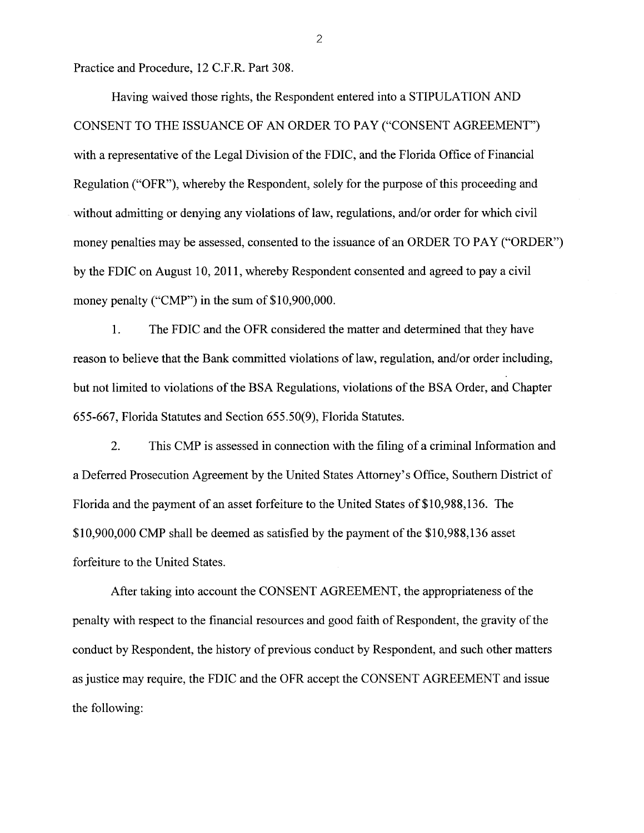Practice and Procedure, 12 C.F.R. Part 308.

Having waived those rights, the Respondent entered into a STIPULATION AND CONSENT TO THE ISSUANCE OF AN ORDER TO PAY ("CONSENT AGREEMENT") with a representative of the Legal Division of the FDIC, and the Florida Office of Financial Regulation ("OFR"), whereby the Respondent, solely for the purpose of this proceeding and without admitting or denying any violations of law, regulations, and/or order for which civil money penalties may be assessed, consented to the issuance of an ORDER TO PAY ("ORDER") by the FDIC on August 10, 2011, whereby Respondent consented and agreed to pay a civil money penalty ("CMP") in the sum of \$10,900,000.

1. The FDIC and the OFR considered the matter and determined that they have reason to believe that the Bank committed violations of law, regulation, and/or order including, but not limited to violations of the BSA Regulations, violations of the BSA Order, and Chapter *655-667,* Florida Statutes and Section *655.50(9),* Florida Statutes.

2. This CMP is assessed in connection with the filing of a criminal Information and a Deferred Prosecution Agreement by the United States Attorney's Office, Southern District of Florida and the payment of an asset forfeiture to the United States of \$10,988,136. The \$10,900,000 CMP shall be deemed as satisfied by the payment of the \$10,988,136 asset forfeiture to the United States.

After taking into account the CONSENT AGREEMENT, the appropriateness of the penalty with respect to the financial resources and good faith of Respondent, the gravity of the conduct by Respondent, the history of previous conduct by Respondent, and such other matters as justice may require, the FDIC and the OFR accept the CONSENT AGREEMENT and issue the following:

2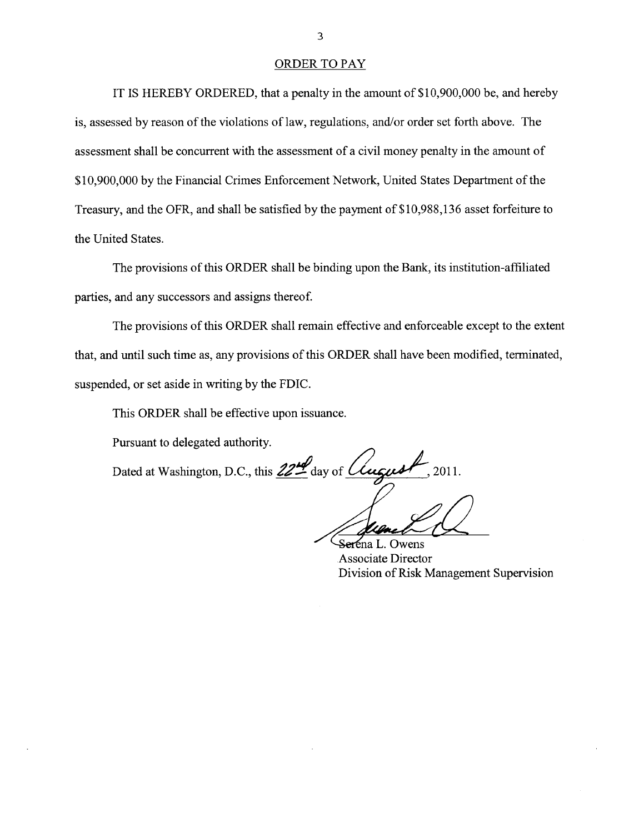#### ORDER TO PAY

IT IS HEREBY ORDERED, that a penalty in the amount of \$10,900,000 be, and hereby is, assessed by reason of the violations of law, regulations, and/or order set forth above. The assessment shall be concurrent with the assessment of a civil money penalty in the amount of \$10,900,000 by the Financial Crimes Enforcement Network, United States Department of the Treasury, and the OFR, and shall be satisfied by the payment of \$10,988,136 asset forfeiture to the United States.

The provisions of this ORDER shall be binding upon the Bank, its institution-affiliated parties, and any successors and assigns thereof

The provisions of this ORDER shall remain effective and enforceable except to the extent that, and until such time as, any provisions of this ORDER shall have been modified, terminated, suspended, or set aside in writing by the FDIC.

This ORDER shall be effective upon issuance.

Pursuant to delegated authority.

Dated at Washington, D.C., this 22<sup>th</sup> day of *Clugust*  $\sqrt{2011}$ .

Seréna L. Owens Associate Director Division of Risk Management Supervision